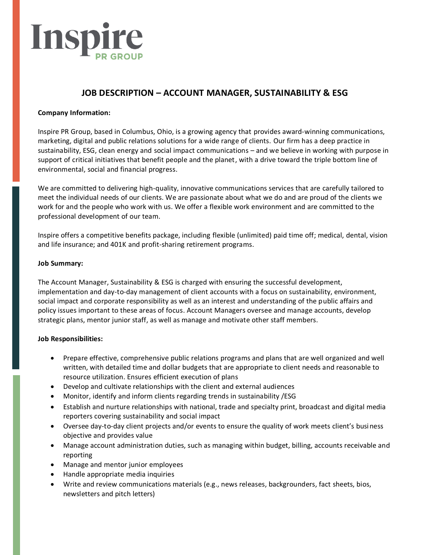# Inspi

## **JOB DESCRIPTION – ACCOUNT MANAGER, SUSTAINABILITY & ESG**

### **Company Information:**

Inspire PR Group, based in Columbus, Ohio, is a growing agency that provides award-winning communications, marketing, digital and public relations solutions for a wide range of clients. Our firm has a deep practice in sustainability, ESG, clean energy and social impact communications – and we believe in working with purpose in support of critical initiatives that benefit people and the planet, with a drive toward the triple bottom line of environmental, social and financial progress.

We are committed to delivering high-quality, innovative communications services that are carefully tailored to meet the individual needs of our clients. We are passionate about what we do and are proud of the clients we work for and the people who work with us. We offer a flexible work environment and are committed to the professional development of our team.

Inspire offers a competitive benefits package, including flexible (unlimited) paid time off; medical, dental, vision and life insurance; and 401K and profit-sharing retirement programs.

#### **Job Summary:**

The Account Manager, Sustainability & ESG is charged with ensuring the successful development, implementation and day-to-day management of client accounts with a focus on sustainability, environment, social impact and corporate responsibility as well as an interest and understanding of the public affairs and policy issues important to these areas of focus. Account Managers oversee and manage accounts, develop strategic plans, mentor junior staff, as well as manage and motivate other staff members.

#### **Job Responsibilities:**

- Prepare effective, comprehensive public relations programs and plans that are well organized and well written, with detailed time and dollar budgets that are appropriate to client needs and reasonable to resource utilization. Ensures efficient execution of plans
- Develop and cultivate relationships with the client and external audiences
- Monitor, identify and inform clients regarding trends in sustainability /ESG
- Establish and nurture relationships with national, trade and specialty print, broadcast and digital media reporters covering sustainability and social impact
- Oversee day-to-day client projects and/or events to ensure the quality of work meets client's business objective and provides value
- Manage account administration duties, such as managing within budget, billing, accounts receivable and reporting
- Manage and mentor junior employees
- Handle appropriate media inquiries
- Write and review communications materials (e.g., news releases, backgrounders, fact sheets, bios, newsletters and pitch letters)